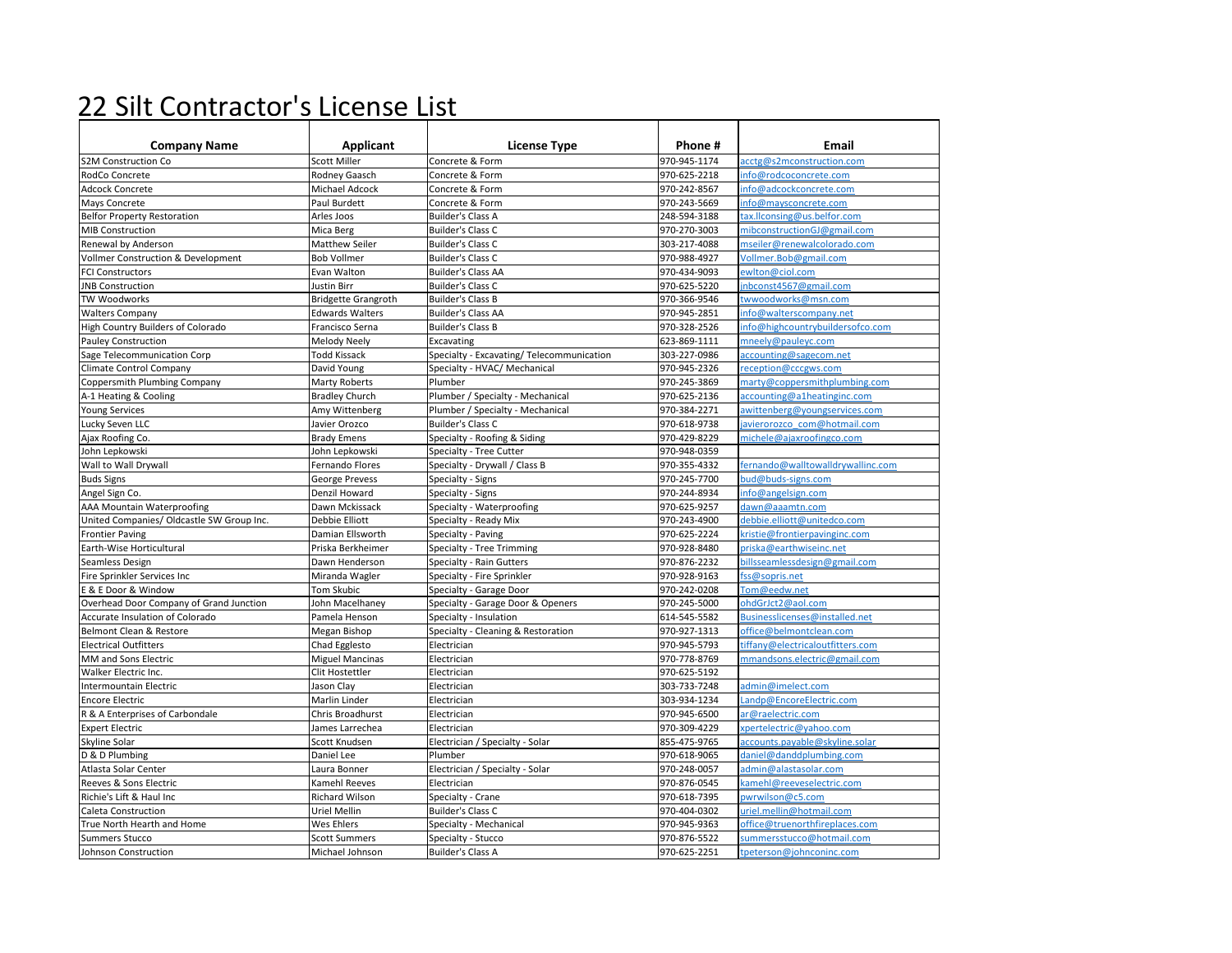## 22 Silt Contractor's License List

| <b>Company Name</b>                       | Applicant                  | <b>License Type</b>                      | Phone#       | Email                             |
|-------------------------------------------|----------------------------|------------------------------------------|--------------|-----------------------------------|
| <b>S2M Construction Co</b>                | <b>Scott Miller</b>        | Concrete & Form                          | 970-945-1174 | acctg@s2mconstruction.com         |
| RodCo Concrete                            | Rodney Gaasch              | Concrete & Form                          | 970-625-2218 | info@rodcoconcrete.com            |
| <b>Adcock Concrete</b>                    | Michael Adcock             | Concrete & Form                          | 970-242-8567 | info@adcockconcrete.com           |
| Mays Concrete                             | Paul Burdett               | Concrete & Form                          | 970-243-5669 | info@maysconcrete.com             |
| <b>Belfor Property Restoration</b>        | Arles Joos                 | <b>Builder's Class A</b>                 | 248-594-3188 | tax.llconsing@us.belfor.com       |
| MIB Construction                          | Mica Berg                  | Builder's Class C                        | 970-270-3003 | mibconstructionGJ@gmail.com       |
| Renewal by Anderson                       | <b>Matthew Seiler</b>      | Builder's Class C                        | 303-217-4088 | mseiler@renewalcolorado.com       |
| Vollmer Construction & Development        | <b>Bob Vollmer</b>         | Builder's Class C                        | 970-988-4927 | Vollmer.Bob@gmail.com             |
| <b>FCI Constructors</b>                   | Evan Walton                | <b>Builder's Class AA</b>                | 970-434-9093 | ewlton@ciol.com                   |
| <b>JNB Construction</b>                   | <b>Justin Birr</b>         | Builder's Class C                        | 970-625-5220 | inbconst4567@gmail.com            |
| <b>TW Woodworks</b>                       | <b>Bridgette Grangroth</b> | <b>Builder's Class B</b>                 | 970-366-9546 | twwoodworks@msn.com               |
| <b>Walters Company</b>                    | <b>Edwards Walters</b>     | <b>Builder's Class AA</b>                | 970-945-2851 | info@walterscompany.net           |
| High Country Builders of Colorado         | Francisco Serna            | <b>Builder's Class B</b>                 | 970-328-2526 | info@highcountrybuildersofco.com  |
| Pauley Construction                       | Melody Neely               | Excavating                               | 623-869-1111 | mneely@pauleyc.com                |
| Sage Telecommunication Corp               | <b>Todd Kissack</b>        | Specialty - Excavating/Telecommunication | 303-227-0986 | accounting@sagecom.net            |
| Climate Control Company                   | David Young                | Specialty - HVAC/ Mechanical             | 970-945-2326 | reception@cccgws.com              |
| Coppersmith Plumbing Company              | Marty Roberts              | Plumber                                  | 970-245-3869 | marty@coppersmithplumbing.com     |
| A-1 Heating & Cooling                     | <b>Bradley Church</b>      | Plumber / Specialty - Mechanical         | 970-625-2136 | accounting@a1heatinginc.com       |
| <b>Young Services</b>                     | Amy Wittenberg             | Plumber / Specialty - Mechanical         | 970-384-2271 | awittenberg@youngservices.com     |
| Lucky Seven LLC                           | Javier Orozco              | Builder's Class C                        | 970-618-9738 | javierorozco com@hotmail.com      |
| Ajax Roofing Co.                          | <b>Brady Emens</b>         | Specialty - Roofing & Siding             | 970-429-8229 | michele@ajaxroofingco.com         |
| John Lepkowski                            | John Lepkowski             | Specialty - Tree Cutter                  | 970-948-0359 |                                   |
| Wall to Wall Drywall                      | Fernando Flores            | Specialty - Drywall / Class B            | 970-355-4332 | fernando@walltowalldrywallinc.com |
| <b>Buds Signs</b>                         | George Prevess             | Specialty - Signs                        | 970-245-7700 | bud@buds-signs.com                |
| Angel Sign Co.                            | Denzil Howard              | Specialty - Signs                        | 970-244-8934 | info@angelsign.com                |
| AAA Mountain Waterproofing                | Dawn Mckissack             | Specialty - Waterproofing                | 970-625-9257 | dawn@aaamtn.com                   |
| United Companies/ Oldcastle SW Group Inc. | Debbie Elliott             | Specialty - Ready Mix                    | 970-243-4900 | debbie.elliott@unitedco.com       |
| <b>Frontier Paving</b>                    | Damian Ellsworth           | Specialty - Paving                       | 970-625-2224 | kristie@frontierpavinginc.com     |
| Earth-Wise Horticultural                  | Priska Berkheimer          | Specialty - Tree Trimming                | 970-928-8480 | priska@earthwiseinc.net           |
| Seamless Design                           | Dawn Henderson             | Specialty - Rain Gutters                 | 970-876-2232 | billsseamlessdesign@gmail.com     |
| Fire Sprinkler Services Inc               | Miranda Wagler             | Specialty - Fire Sprinkler               | 970-928-9163 | fss@sopris.net                    |
| E & E Door & Window                       | <b>Tom Skubic</b>          | Specialty - Garage Door                  | 970-242-0208 | Tom@eedw.net                      |
| Overhead Door Company of Grand Junction   | John Macelhaney            | Specialty - Garage Door & Openers        | 970-245-5000 | ohdGrJct2@aol.com                 |
| Accurate Insulation of Colorado           | Pamela Henson              | Specialty - Insulation                   | 614-545-5582 | Businesslicenses@installed.net    |
| Belmont Clean & Restore                   | Megan Bishop               | Specialty - Cleaning & Restoration       | 970-927-1313 | office@belmontclean.com           |
| <b>Electrical Outfitters</b>              | Chad Egglesto              | Electrician                              | 970-945-5793 | tiffany@electricaloutfitters.com  |
| MM and Sons Electric                      | <b>Miguel Mancinas</b>     | Electrician                              | 970-778-8769 | mmandsons.electric@gmail.com      |
| Walker Electric Inc.                      | Clit Hostettler            | Electrician                              | 970-625-5192 |                                   |
| <b>Intermountain Electric</b>             | Jason Clay                 | Electrician                              | 303-733-7248 | admin@imelect.com                 |
| <b>Encore Electric</b>                    | Marlin Linder              | Electrician                              | 303-934-1234 | Landp@EncoreElectric.com          |
| R & A Enterprises of Carbondale           | Chris Broadhurst           | Electrician                              | 970-945-6500 | ar@raelectric.com                 |
| <b>Expert Electric</b>                    | James Larrechea            | Electrician                              | 970-309-4229 | xpertelectric@yahoo.com           |
| Skyline Solar                             | Scott Knudsen              | Electrician / Specialty - Solar          | 855-475-9765 | accounts.payable@skyline.solar    |
| D & D Plumbing                            | Daniel Lee                 | Plumber                                  | 970-618-9065 | daniel@danddplumbing.com          |
| Atlasta Solar Center                      | Laura Bonner               | Electrician / Specialty - Solar          | 970-248-0057 | admin@alastasolar.com             |
| Reeves & Sons Electric                    | Kamehl Reeves              | Electrician                              | 970-876-0545 | kamehl@reeveselectric.com         |
| Richie's Lift & Haul Inc                  | Richard Wilson             | Specialty - Crane                        | 970-618-7395 | pwrwilson@c5.com                  |
| Caleta Construction                       | Uriel Mellin               | Builder's Class C                        | 970-404-0302 | uriel.mellin@hotmail.com          |
| True North Hearth and Home                | Wes Ehlers                 | Specialty - Mechanical                   | 970-945-9363 | office@truenorthfireplaces.com    |
| <b>Summers Stucco</b>                     | <b>Scott Summers</b>       | Specialty - Stucco                       | 970-876-5522 | summersstucco@hotmail.com         |
| Johnson Construction                      | Michael Johnson            | <b>Builder's Class A</b>                 | 970-625-2251 | tpeterson@johnconinc.com          |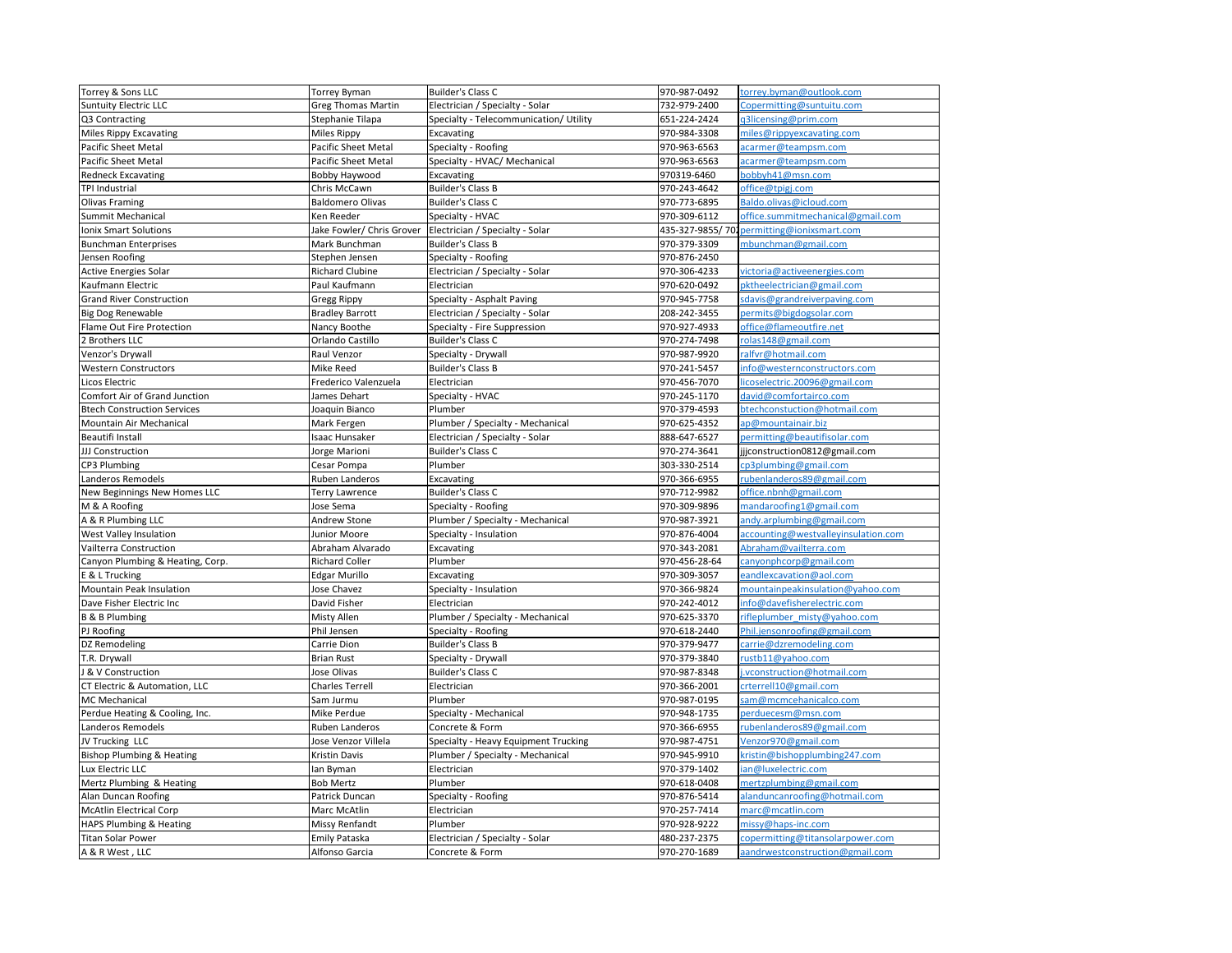| Torrey & Sons LLC                    | <b>Torrey Byman</b>       | Builder's Class C                      | 970-987-0492     | torrey.byman@outlook.com            |
|--------------------------------------|---------------------------|----------------------------------------|------------------|-------------------------------------|
| <b>Suntuity Electric LLC</b>         | <b>Greg Thomas Martin</b> | Electrician / Specialty - Solar        | 732-979-2400     | Copermitting@suntuitu.com           |
| Q3 Contracting                       | Stephanie Tilapa          | Specialty - Telecommunication/ Utility | 651-224-2424     | q3licensing@prim.com                |
| <b>Miles Rippy Excavating</b>        | Miles Rippy               | Excavating                             | 970-984-3308     | miles@rippyexcavating.com           |
| <b>Pacific Sheet Metal</b>           | Pacific Sheet Metal       | Specialty - Roofing                    | 970-963-6563     | acarmer@teampsm.com                 |
| Pacific Sheet Metal                  | Pacific Sheet Metal       | Specialty - HVAC/ Mechanical           | 970-963-6563     | acarmer@teampsm.com                 |
| <b>Redneck Excavating</b>            | Bobby Haywood             | Excavating                             | 970319-6460      | bobbyh41@msn.com                    |
| TPI Industrial                       | Chris McCawn              | <b>Builder's Class B</b>               | 970-243-4642     | office@tpigj.com                    |
| <b>Olivas Framing</b>                | <b>Baldomero Olivas</b>   | Builder's Class C                      | 970-773-6895     | Baldo.olivas@icloud.com             |
| Summit Mechanical                    | Ken Reeder                | Specialty - HVAC                       | 970-309-6112     | office.summitmechanical@gmail.com   |
| <b>Ionix Smart Solutions</b>         | Jake Fowler/ Chris Grover | Electrician / Specialty - Solar        | 435-327-9855/702 | permitting@ionixsmart.com           |
| <b>Bunchman Enterprises</b>          | Mark Bunchman             | <b>Builder's Class B</b>               | 970-379-3309     | mbunchman@gmail.com                 |
| Jensen Roofing                       | Stephen Jensen            | Specialty - Roofing                    | 970-876-2450     |                                     |
| <b>Active Energies Solar</b>         | <b>Richard Clubine</b>    | Electrician / Specialty - Solar        | 970-306-4233     | victoria@activeenergies.com         |
| Kaufmann Electric                    | Paul Kaufmann             | Electrician                            | 970-620-0492     | pktheelectrician@gmail.com          |
| <b>Grand River Construction</b>      | <b>Gregg Rippy</b>        | Specialty - Asphalt Paving             | 970-945-7758     | sdavis@grandreiverpaving.com        |
| <b>Big Dog Renewable</b>             | <b>Bradley Barrott</b>    | Electrician / Specialty - Solar        | 208-242-3455     | permits@bigdogsolar.com             |
| Flame Out Fire Protection            | Nancy Boothe              | Specialty - Fire Suppression           | 970-927-4933     | office@flameoutfire.net             |
| 2 Brothers LLC                       | Orlando Castillo          | Builder's Class C                      | 970-274-7498     | rolas148@gmail.com                  |
| Venzor's Drywall                     | Raul Venzor               | Specialty - Drywall                    | 970-987-9920     | ralfyr@hotmail.com                  |
| <b>Western Constructors</b>          | Mike Reed                 | <b>Builder's Class B</b>               | 970-241-5457     | info@westernconstructors.com        |
|                                      |                           |                                        |                  | licoselectric.20096@gmail.com       |
| Licos Electric                       | Frederico Valenzuela      | Electrician                            | 970-456-7070     |                                     |
| Comfort Air of Grand Junction        | James Dehart              | Specialty - HVAC                       | 970-245-1170     | david@comfortairco.com              |
| <b>Btech Construction Services</b>   | Joaquin Bianco            | Plumber                                | 970-379-4593     | btechconstuction@hotmail.com        |
| Mountain Air Mechanical              | Mark Fergen               | Plumber / Specialty - Mechanical       | 970-625-4352     | ap@mountainair.biz                  |
| <b>Beautifi Install</b>              | Isaac Hunsaker            | Electrician / Specialty - Solar        | 888-647-6527     | permitting@beautifisolar.com        |
| JJJ Construction                     | Jorge Marioni             | Builder's Class C                      | 970-274-3641     | jjjconstruction0812@gmail.com       |
| CP3 Plumbing                         | Cesar Pompa               | Plumber                                | 303-330-2514     | cp3plumbing@gmail.com               |
| Landeros Remodels                    | Ruben Landeros            | Excavating                             | 970-366-6955     | rubenlanderos89@gmail.com           |
| New Beginnings New Homes LLC         | Terry Lawrence            | Builder's Class C                      | 970-712-9982     | office.nbnh@gmail.com               |
| M & A Roofing                        | Jose Sema                 | Specialty - Roofing                    | 970-309-9896     | mandaroofing1@gmail.com             |
| A & R Plumbing LLC                   | Andrew Stone              | Plumber / Specialty - Mechanical       | 970-987-3921     | andy.arplumbing@gmail.com           |
| West Valley Insulation               | Junior Moore              | Specialty - Insulation                 | 970-876-4004     | accounting@westvalleyinsulation.com |
| Vailterra Construction               | Abraham Alvarado          | Excavating                             | 970-343-2081     | Abraham@vailterra.com               |
| Canyon Plumbing & Heating, Corp.     | <b>Richard Coller</b>     | Plumber                                | 970-456-28-64    | canyonphcorp@gmail.com              |
| E & L Trucking                       | Edgar Murillo             | Excavating                             | 970-309-3057     | eandlexcavation@aol.com             |
| Mountain Peak Insulation             | Jose Chavez               | Specialty - Insulation                 | 970-366-9824     | mountainpeakinsulation@yahoo.com    |
| Dave Fisher Electric Inc             | David Fisher              | Electrician                            | 970-242-4012     | nfo@davefisherelectric.com          |
| <b>B &amp; B Plumbing</b>            | Misty Allen               | Plumber / Specialty - Mechanical       | 970-625-3370     | rifleplumber misty@yahoo.com        |
| PJ Roofing                           | Phil Jensen               | Specialty - Roofing                    | 970-618-2440     | Phil.jensonroofing@gmail.com        |
| DZ Remodeling                        | Carrie Dion               | <b>Builder's Class B</b>               | 970-379-9477     | carrie@dzremodeling.com             |
| T.R. Drywall                         | <b>Brian Rust</b>         | Specialty - Drywall                    | 970-379-3840     | rustb11@yahoo.com                   |
| & V Construction                     | Jose Olivas               | Builder's Class C                      | 970-987-8348     | i.vconstruction@hotmail.com         |
| CT Electric & Automation, LLC        | Charles Terrell           | Electrician                            | 970-366-2001     | crterrell10@gmail.com               |
| <b>MC Mechanical</b>                 | Sam Jurmu                 | Plumber                                | 970-987-0195     | sam@mcmcehanicalco.com              |
| Perdue Heating & Cooling, Inc.       | Mike Perdue               | Specialty - Mechanical                 | 970-948-1735     | perduecesm@msn.com                  |
| Landeros Remodels                    | Ruben Landeros            | Concrete & Form                        | 970-366-6955     | rubenlanderos89@gmail.com           |
| JV Trucking LLC                      | Jose Venzor Villela       | Specialty - Heavy Equipment Trucking   | 970-987-4751     | Venzor970@gmail.com                 |
| <b>Bishop Plumbing &amp; Heating</b> | Kristin Davis             | Plumber / Specialty - Mechanical       | 970-945-9910     | kristin@bishopplumbing247.com       |
| Lux Electric LLC                     | lan Byman                 | Electrician                            | 970-379-1402     | ian@luxelectric.com                 |
| Mertz Plumbing & Heating             | <b>Bob Mertz</b>          | Plumber                                | 970-618-0408     | mertzplumbing@gmail.com             |
| Alan Duncan Roofing                  | Patrick Duncan            | Specialty - Roofing                    | 970-876-5414     | alanduncanroofing@hotmail.com       |
| <b>McAtlin Electrical Corp</b>       | Marc McAtlin              | Electrician                            | 970-257-7414     | marc@mcatlin.com                    |
| HAPS Plumbing & Heating              | Missy Renfandt            | Plumber                                | 970-928-9222     | missy@haps-inc.com                  |
| <b>Titan Solar Power</b>             | Emily Pataska             | Electrician / Specialty - Solar        | 480-237-2375     | copermitting@titansolarpower.com    |
| A & R West, LLC                      | Alfonso Garcia            | Concrete & Form                        | 970-270-1689     | aandrwestconstruction@gmail.com     |
|                                      |                           |                                        |                  |                                     |